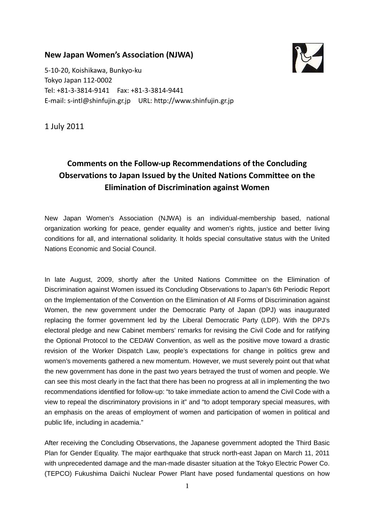### New Japan Women's Association (NJWA)



5-10-20, Koishikawa, Bunkyo-ku Tokyo Japan 112-0002 Tel: +81-3-3814-9141 Fax: +81-3-3814-9441 E-mail: s-intl@shinfujin.gr.jp URL: http://www.shinfujin.gr.jp

1 July 2011

# Comments on the Follow-up Recommendations of the Concluding Observations to Japan Issued by the United Nations Committee on the Elimination of Discrimination against Women

New Japan Women's Association (NJWA) is an individual-membership based, national organization working for peace, gender equality and women's rights, justice and better living conditions for all, and international solidarity. It holds special consultative status with the United Nations Economic and Social Council.

In late August, 2009, shortly after the United Nations Committee on the Elimination of Discrimination against Women issued its Concluding Observations to Japan's 6th Periodic Report on the Implementation of the Convention on the Elimination of All Forms of Discrimination against Women, the new government under the Democratic Party of Japan (DPJ) was inaugurated replacing the former government led by the Liberal Democratic Party (LDP). With the DPJ's electoral pledge and new Cabinet members' remarks for revising the Civil Code and for ratifying the Optional Protocol to the CEDAW Convention, as well as the positive move toward a drastic revision of the Worker Dispatch Law, people's expectations for change in politics grew and women's movements gathered a new momentum. However, we must severely point out that what the new government has done in the past two years betrayed the trust of women and people. We can see this most clearly in the fact that there has been no progress at all in implementing the two recommendations identified for follow-up: "to take immediate action to amend the Civil Code with a view to repeal the discriminatory provisions in it" and "to adopt temporary special measures, with an emphasis on the areas of employment of women and participation of women in political and public life, including in academia."

After receiving the Concluding Observations, the Japanese government adopted the Third Basic Plan for Gender Equality. The major earthquake that struck north-east Japan on March 11, 2011 with unprecedented damage and the man-made disaster situation at the Tokyo Electric Power Co. (TEPCO) Fukushima Daiichi Nuclear Power Plant have posed fundamental questions on how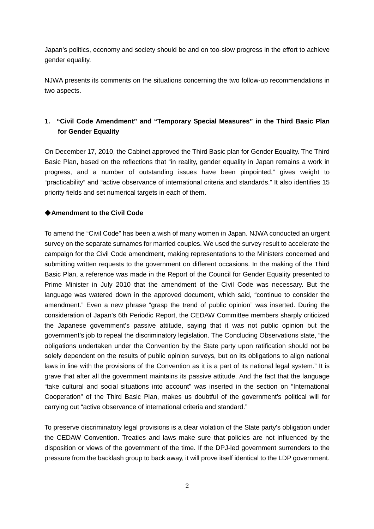Japan's politics, economy and society should be and on too-slow progress in the effort to achieve gender equality.

NJWA presents its comments on the situations concerning the two follow-up recommendations in two aspects.

# **1. "Civil Code Amendment" and "Temporary Special Measures" in the Third Basic Plan for Gender Equality**

On December 17, 2010, the Cabinet approved the Third Basic plan for Gender Equality. The Third Basic Plan, based on the reflections that "in reality, gender equality in Japan remains a work in progress, and a number of outstanding issues have been pinpointed," gives weight to "practicability" and "active observance of international criteria and standards." It also identifies 15 priority fields and set numerical targets in each of them.

### ◆**Amendment to the Civil Code**

To amend the "Civil Code" has been a wish of many women in Japan. NJWA conducted an urgent survey on the separate surnames for married couples. We used the survey result to accelerate the campaign for the Civil Code amendment, making representations to the Ministers concerned and submitting written requests to the government on different occasions. In the making of the Third Basic Plan, a reference was made in the Report of the Council for Gender Equality presented to Prime Minister in July 2010 that the amendment of the Civil Code was necessary. But the language was watered down in the approved document, which said, "continue to consider the amendment." Even a new phrase "grasp the trend of public opinion" was inserted. During the consideration of Japan's 6th Periodic Report, the CEDAW Committee members sharply criticized the Japanese government's passive attitude, saying that it was not public opinion but the government's job to repeal the discriminatory legislation. The Concluding Observations state, "the obligations undertaken under the Convention by the State party upon ratification should not be solely dependent on the results of public opinion surveys, but on its obligations to align national laws in line with the provisions of the Convention as it is a part of its national legal system." It is grave that after all the government maintains its passive attitude. And the fact that the language "take cultural and social situations into account" was inserted in the section on "International Cooperation" of the Third Basic Plan, makes us doubtful of the government's political will for carrying out "active observance of international criteria and standard."

To preserve discriminatory legal provisions is a clear violation of the State party's obligation under the CEDAW Convention. Treaties and laws make sure that policies are not influenced by the disposition or views of the government of the time. If the DPJ-led government surrenders to the pressure from the backlash group to back away, it will prove itself identical to the LDP government.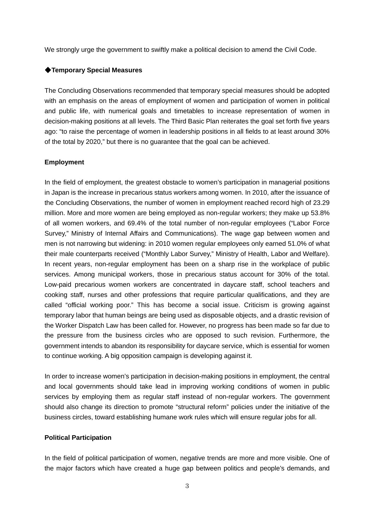We strongly urge the government to swiftly make a political decision to amend the Civil Code.

#### ◆**Temporary Special Measures**

The Concluding Observations recommended that temporary special measures should be adopted with an emphasis on the areas of employment of women and participation of women in political and public life, with numerical goals and timetables to increase representation of women in decision-making positions at all levels. The Third Basic Plan reiterates the goal set forth five years ago: "to raise the percentage of women in leadership positions in all fields to at least around 30% of the total by 2020," but there is no guarantee that the goal can be achieved.

#### **Employment**

In the field of employment, the greatest obstacle to women's participation in managerial positions in Japan is the increase in precarious status workers among women. In 2010, after the issuance of the Concluding Observations, the number of women in employment reached record high of 23.29 million. More and more women are being employed as non-regular workers; they make up 53.8% of all women workers, and 69.4% of the total number of non-regular employees ("Labor Force Survey," Ministry of Internal Affairs and Communications). The wage gap between women and men is not narrowing but widening: in 2010 women regular employees only earned 51.0% of what their male counterparts received ("Monthly Labor Survey," Ministry of Health, Labor and Welfare). In recent years, non-regular employment has been on a sharp rise in the workplace of public services. Among municipal workers, those in precarious status account for 30% of the total. Low-paid precarious women workers are concentrated in daycare staff, school teachers and cooking staff, nurses and other professions that require particular qualifications, and they are called "official working poor." This has become a social issue. Criticism is growing against temporary labor that human beings are being used as disposable objects, and a drastic revision of the Worker Dispatch Law has been called for. However, no progress has been made so far due to the pressure from the business circles who are opposed to such revision. Furthermore, the government intends to abandon its responsibility for daycare service, which is essential for women to continue working. A big opposition campaign is developing against it.

In order to increase women's participation in decision-making positions in employment, the central and local governments should take lead in improving working conditions of women in public services by employing them as regular staff instead of non-regular workers. The government should also change its direction to promote "structural reform" policies under the initiative of the business circles, toward establishing humane work rules which will ensure regular jobs for all.

#### **Political Participation**

In the field of political participation of women, negative trends are more and more visible. One of the major factors which have created a huge gap between politics and people's demands, and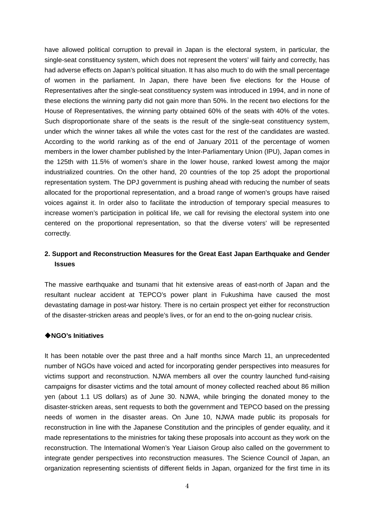have allowed political corruption to prevail in Japan is the electoral system, in particular, the single-seat constituency system, which does not represent the voters' will fairly and correctly, has had adverse effects on Japan's political situation. It has also much to do with the small percentage of women in the parliament. In Japan, there have been five elections for the House of Representatives after the single-seat constituency system was introduced in 1994, and in none of these elections the winning party did not gain more than 50%. In the recent two elections for the House of Representatives, the winning party obtained 60% of the seats with 40% of the votes. Such disproportionate share of the seats is the result of the single-seat constituency system, under which the winner takes all while the votes cast for the rest of the candidates are wasted. According to the world ranking as of the end of January 2011 of the percentage of women members in the lower chamber published by the Inter-Parliamentary Union (IPU), Japan comes in the 125th with 11.5% of women's share in the lower house, ranked lowest among the major industrialized countries. On the other hand, 20 countries of the top 25 adopt the proportional representation system. The DPJ government is pushing ahead with reducing the number of seats allocated for the proportional representation, and a broad range of women's groups have raised voices against it. In order also to facilitate the introduction of temporary special measures to increase women's participation in political life, we call for revising the electoral system into one centered on the proportional representation, so that the diverse voters' will be represented correctly.

## **2. Support and Reconstruction Measures for the Great East Japan Earthquake and Gender Issues**

The massive earthquake and tsunami that hit extensive areas of east-north of Japan and the resultant nuclear accident at TEPCO's power plant in Fukushima have caused the most devastating damage in post-war history. There is no certain prospect yet either for reconstruction of the disaster-stricken areas and people's lives, or for an end to the on-going nuclear crisis.

#### ◆**NGO's Initiatives**

It has been notable over the past three and a half months since March 11, an unprecedented number of NGOs have voiced and acted for incorporating gender perspectives into measures for victims support and reconstruction. NJWA members all over the country launched fund-raising campaigns for disaster victims and the total amount of money collected reached about 86 million yen (about 1.1 US dollars) as of June 30. NJWA, while bringing the donated money to the disaster-stricken areas, sent requests to both the government and TEPCO based on the pressing needs of women in the disaster areas. On June 10, NJWA made public its proposals for reconstruction in line with the Japanese Constitution and the principles of gender equality, and it made representations to the ministries for taking these proposals into account as they work on the reconstruction. The International Women's Year Liaison Group also called on the government to integrate gender perspectives into reconstruction measures. The Science Council of Japan, an organization representing scientists of different fields in Japan, organized for the first time in its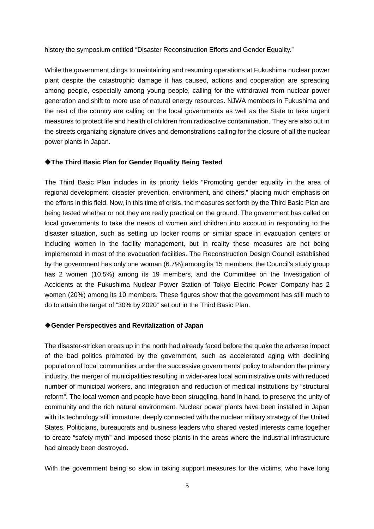history the symposium entitled "Disaster Reconstruction Efforts and Gender Equality."

While the government clings to maintaining and resuming operations at Fukushima nuclear power plant despite the catastrophic damage it has caused, actions and cooperation are spreading among people, especially among young people, calling for the withdrawal from nuclear power generation and shift to more use of natural energy resources. NJWA members in Fukushima and the rest of the country are calling on the local governments as well as the State to take urgent measures to protect life and health of children from radioactive contamination. They are also out in the streets organizing signature drives and demonstrations calling for the closure of all the nuclear power plants in Japan.

#### ◆**The Third Basic Plan for Gender Equality Being Tested**

The Third Basic Plan includes in its priority fields "Promoting gender equality in the area of regional development, disaster prevention, environment, and others," placing much emphasis on the efforts in this field. Now, in this time of crisis, the measures set forth by the Third Basic Plan are being tested whether or not they are really practical on the ground. The government has called on local governments to take the needs of women and children into account in responding to the disaster situation, such as setting up locker rooms or similar space in evacuation centers or including women in the facility management, but in reality these measures are not being implemented in most of the evacuation facilities. The Reconstruction Design Council established by the government has only one woman (6.7%) among its 15 members, the Council's study group has 2 women (10.5%) among its 19 members, and the Committee on the Investigation of Accidents at the Fukushima Nuclear Power Station of Tokyo Electric Power Company has 2 women (20%) among its 10 members. These figures show that the government has still much to do to attain the target of "30% by 2020" set out in the Third Basic Plan.

#### ◆**Gender Perspectives and Revitalization of Japan**

The disaster-stricken areas up in the north had already faced before the quake the adverse impact of the bad politics promoted by the government, such as accelerated aging with declining population of local communities under the successive governments' policy to abandon the primary industry, the merger of municipalities resulting in wider-area local administrative units with reduced number of municipal workers, and integration and reduction of medical institutions by "structural reform". The local women and people have been struggling, hand in hand, to preserve the unity of community and the rich natural environment. Nuclear power plants have been installed in Japan with its technology still immature, deeply connected with the nuclear military strategy of the United States. Politicians, bureaucrats and business leaders who shared vested interests came together to create "safety myth" and imposed those plants in the areas where the industrial infrastructure had already been destroyed.

With the government being so slow in taking support measures for the victims, who have long